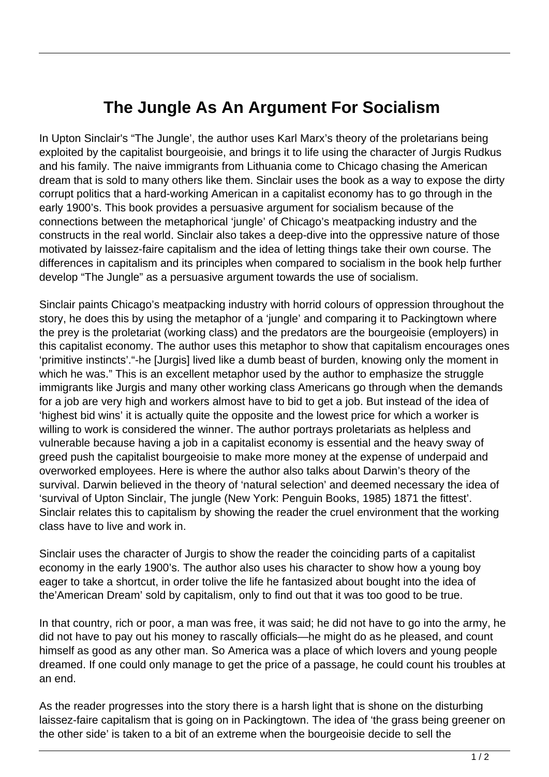## **The Jungle As An Argument For Socialism**

In Upton Sinclair's "The Jungle', the author uses Karl Marx's theory of the proletarians being exploited by the capitalist bourgeoisie, and brings it to life using the character of Jurgis Rudkus and his family. The naive immigrants from Lithuania come to Chicago chasing the American dream that is sold to many others like them. Sinclair uses the book as a way to expose the dirty corrupt politics that a hard-working American in a capitalist economy has to go through in the early 1900's. This book provides a persuasive argument for socialism because of the connections between the metaphorical 'jungle' of Chicago's meatpacking industry and the constructs in the real world. Sinclair also takes a deep-dive into the oppressive nature of those motivated by laissez-faire capitalism and the idea of letting things take their own course. The differences in capitalism and its principles when compared to socialism in the book help further develop "The Jungle" as a persuasive argument towards the use of socialism.

Sinclair paints Chicago's meatpacking industry with horrid colours of oppression throughout the story, he does this by using the metaphor of a 'jungle' and comparing it to Packingtown where the prey is the proletariat (working class) and the predators are the bourgeoisie (employers) in this capitalist economy. The author uses this metaphor to show that capitalism encourages ones 'primitive instincts'."-he [Jurgis] lived like a dumb beast of burden, knowing only the moment in which he was." This is an excellent metaphor used by the author to emphasize the struggle immigrants like Jurgis and many other working class Americans go through when the demands for a job are very high and workers almost have to bid to get a job. But instead of the idea of 'highest bid wins' it is actually quite the opposite and the lowest price for which a worker is willing to work is considered the winner. The author portrays proletariats as helpless and vulnerable because having a job in a capitalist economy is essential and the heavy sway of greed push the capitalist bourgeoisie to make more money at the expense of underpaid and overworked employees. Here is where the author also talks about Darwin's theory of the survival. Darwin believed in the theory of 'natural selection' and deemed necessary the idea of 'survival of Upton Sinclair, The jungle (New York: Penguin Books, 1985) 1871 the fittest'. Sinclair relates this to capitalism by showing the reader the cruel environment that the working class have to live and work in.

Sinclair uses the character of Jurgis to show the reader the coinciding parts of a capitalist economy in the early 1900's. The author also uses his character to show how a young boy eager to take a shortcut, in order tolive the life he fantasized about bought into the idea of the'American Dream' sold by capitalism, only to find out that it was too good to be true.

In that country, rich or poor, a man was free, it was said; he did not have to go into the army, he did not have to pay out his money to rascally officials—he might do as he pleased, and count himself as good as any other man. So America was a place of which lovers and young people dreamed. If one could only manage to get the price of a passage, he could count his troubles at an end.

As the reader progresses into the story there is a harsh light that is shone on the disturbing laissez-faire capitalism that is going on in Packingtown. The idea of 'the grass being greener on the other side' is taken to a bit of an extreme when the bourgeoisie decide to sell the